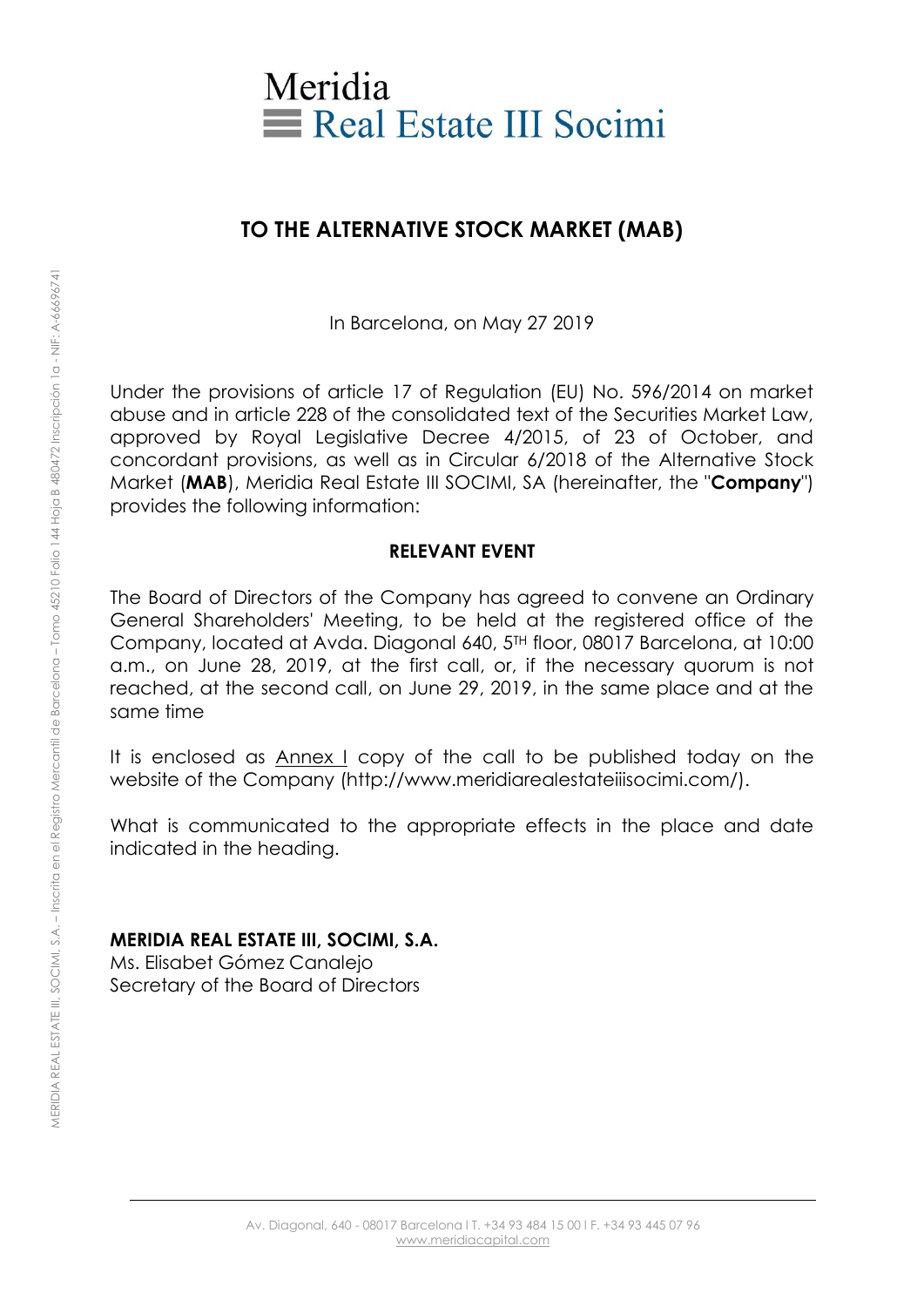

# **TO THE ALTERNATIVE STOCK MARKET (MAB)**

In Barcelona, on May 27 2019

Under the provisions of article 17 of Regulation (EU) No. 596/2014 on market abuse and in article 228 of the consolidated text of the Securities Market Law, approved by Royal Legislative Decree 4/2015, of 23 of October, and concordant provisions, as well as in Circular 6/2018 of the Alternative Stock Market (**MAB**), Meridia Real Estate III SOCIMI, SA (hereinafter, the "**Company**") provides the following information:

#### **RELEVANT EVENT**

The Board of Directors of the Company has agreed to convene an Ordinary General Shareholders' Meeting, to be held at the registered office of the Company, located at Avda. Diagonal 640, 5TH floor, 08017 Barcelona, at 10:00 a.m., on June 28, 2019, at the first call, or, if the necessary quorum is not reached, at the second call, on June 29, 2019, in the same place and at the same time

It is enclosed as Annex I copy of the call to be published today on the website of the Company (http://www.meridiarealestateiiisocimi.com/).

What is communicated to the appropriate effects in the place and date indicated in the heading.

### **MERIDIA REAL ESTATE III, SOCIMI, S.A.**

Ms. Elisabet Gómez Canalejo Secretary of the Board of Directors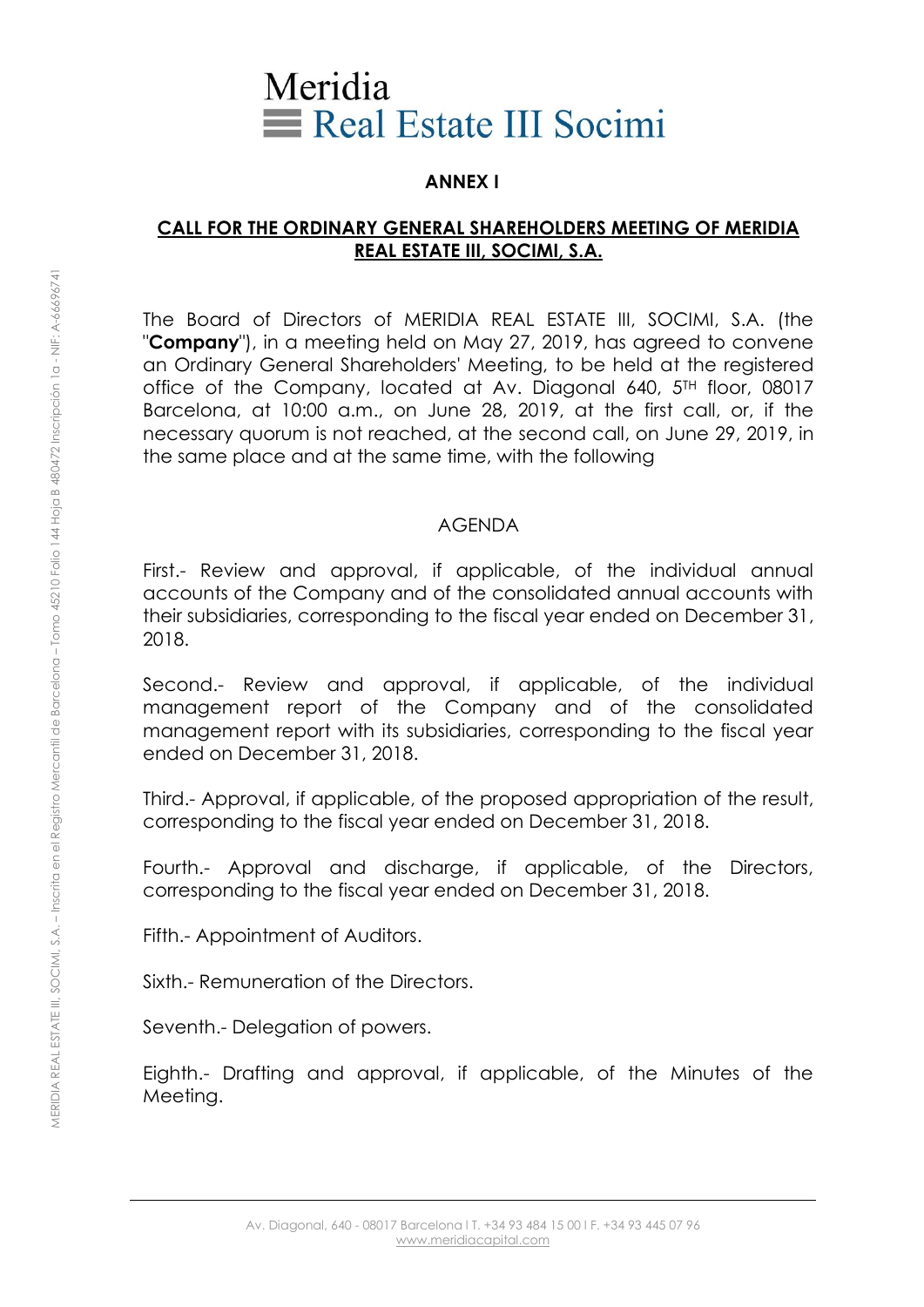# Meridia Real Estate III Socimi

## **ANNEX I**

### **CALL FOR THE ORDINARY GENERAL SHAREHOLDERS MEETING OF MERIDIA REAL ESTATE III, SOCIMI, S.A.**

The Board of Directors of MERIDIA REAL ESTATE III, SOCIMI, S.A. (the "**Company**"), in a meeting held on May 27, 2019, has agreed to convene an Ordinary General Shareholders' Meeting, to be held at the registered office of the Company, located at Av. Diagonal 640, 5<sup>TH</sup> floor, 08017 Barcelona, at 10:00 a.m., on June 28, 2019, at the first call, or, if the necessary quorum is not reached, at the second call, on June 29, 2019, in the same place and at the same time, with the following

#### AGENDA

First.- Review and approval, if applicable, of the individual annual accounts of the Company and of the consolidated annual accounts with their subsidiaries, corresponding to the fiscal year ended on December 31, 2018.

Second.- Review and approval, if applicable, of the individual management report of the Company and of the consolidated management report with its subsidiaries, corresponding to the fiscal year ended on December 31, 2018.

Third.- Approval, if applicable, of the proposed appropriation of the result, corresponding to the fiscal year ended on December 31, 2018.

Fourth.- Approval and discharge, if applicable, of the Directors, corresponding to the fiscal year ended on December 31, 2018.

Fifth.- Appointment of Auditors.

Sixth.- Remuneration of the Directors.

Seventh.- Delegation of powers.

Eighth.- Drafting and approval, if applicable, of the Minutes of the Meeting.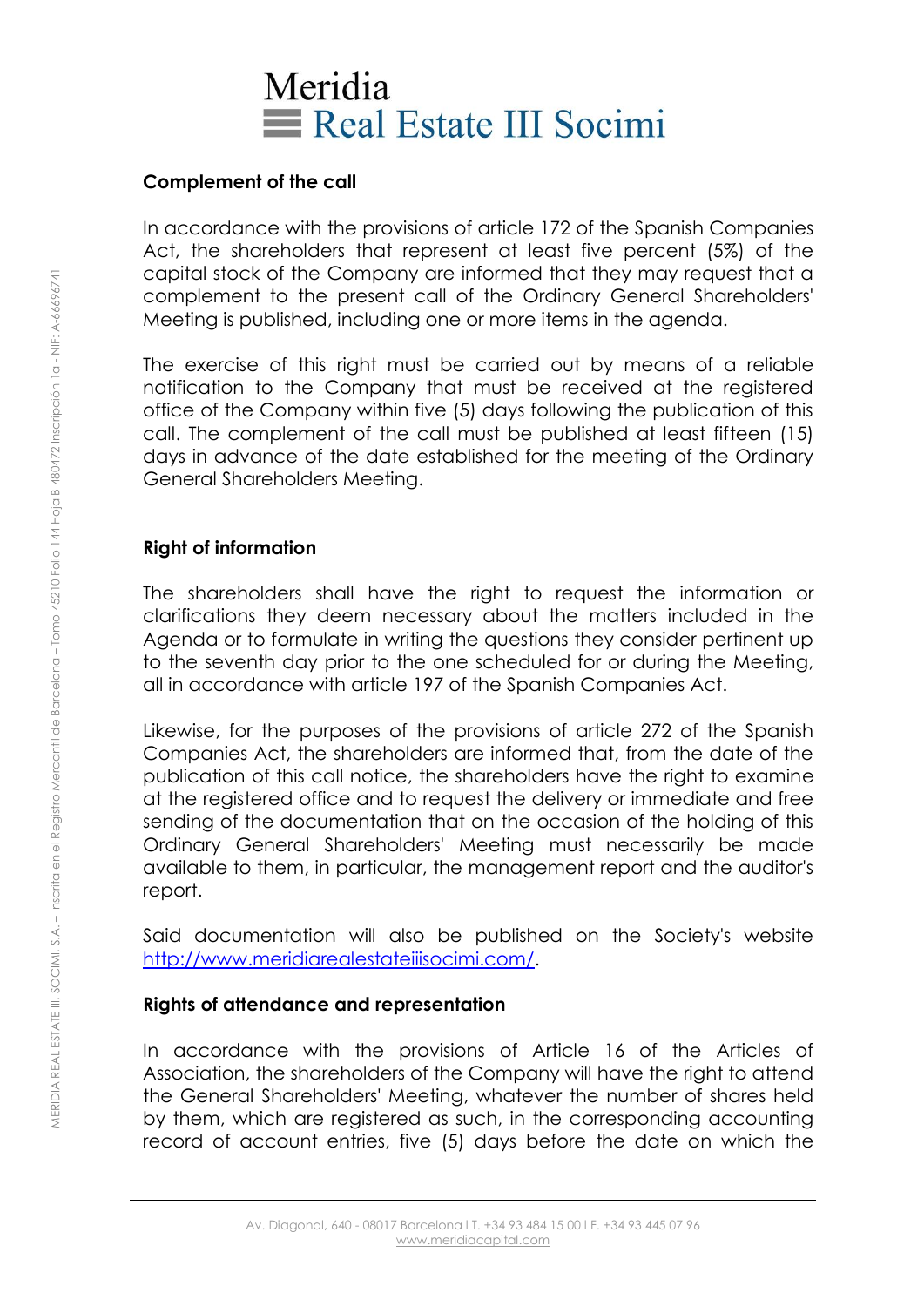# Meridia Real Estate III Socimi

### **Complement of the call**

In accordance with the provisions of article 172 of the Spanish Companies Act, the shareholders that represent at least five percent (5%) of the capital stock of the Company are informed that they may request that a complement to the present call of the Ordinary General Shareholders' Meeting is published, including one or more items in the agenda.

The exercise of this right must be carried out by means of a reliable notification to the Company that must be received at the registered office of the Company within five (5) days following the publication of this call. The complement of the call must be published at least fifteen (15) days in advance of the date established for the meeting of the Ordinary General Shareholders Meeting.

# **Right of information**

The shareholders shall have the right to request the information or clarifications they deem necessary about the matters included in the Agenda or to formulate in writing the questions they consider pertinent up to the seventh day prior to the one scheduled for or during the Meeting, all in accordance with article 197 of the Spanish Companies Act.

Likewise, for the purposes of the provisions of article 272 of the Spanish Companies Act, the shareholders are informed that, from the date of the publication of this call notice, the shareholders have the right to examine at the registered office and to request the delivery or immediate and free sending of the documentation that on the occasion of the holding of this Ordinary General Shareholders' Meeting must necessarily be made available to them, in particular, the management report and the auditor's report.

Said documentation will also be published on the Society's website [http://www.meridiarealestateiiisocimi.com/.](http://www.meridiarealestateiiisocimi.com/)

### **Rights of attendance and representation**

In accordance with the provisions of Article 16 of the Articles of Association, the shareholders of the Company will have the right to attend the General Shareholders' Meeting, whatever the number of shares held by them, which are registered as such, in the corresponding accounting record of account entries, five (5) days before the date on which the